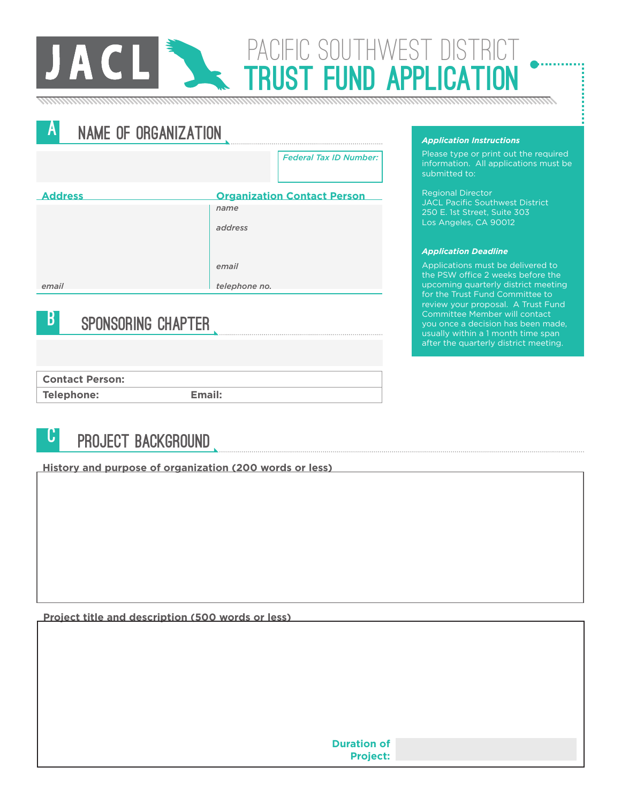

A NAME OF ORGANIZATION *Federal Tax ID Number:* **Address Organization Contact Person** *name address email email telephone no.*

### **B** SPONSORING CHAPTER

**Contact Person:**

**Telephone:**

**Email:**

# **U** PROJECT BACKGROUND

**History and purpose of organization (200 words or less)**

**Project title and description (500 words or less)**

*Application Instructions*

PACIFIC SOUTHWEST DIST

IST FIIND APPLI

Please type or print out the required information. All applications must be submitted to:

Regional Director JACL Pacific Southwest District 250 E. 1st Street, Suite 303 Los Angeles, CA 90012

#### *Application Deadline*

Applications must be delivered to the PSW office 2 weeks before the upcoming quarterly district meeting review your proposal. A Trust Fund Committee Member will contact you once a decision has been made, usually within a 1 month time span after the quarterly district meeting.

**Project:**

**Duration of**